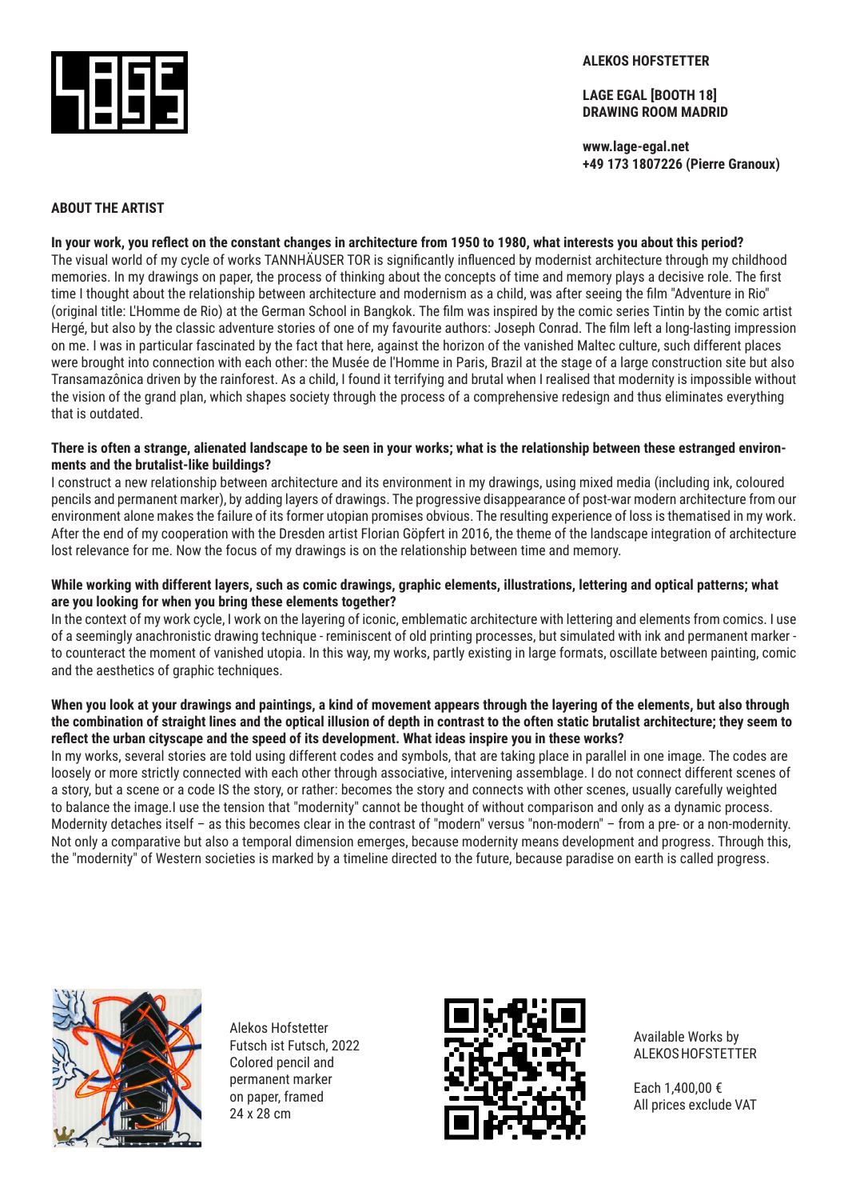

#### **ALEKOS HOFSTETTER**

**LAGE EGAL [BOOTH 18] DRAWING ROOM MADRID**

**www.lage-egal.net +49 173 1807226 (Pierre Granoux)**

## **ABOUT THE ARTIST**

**In your work, you reflect on the constant changes in architecture from 1950 to 1980, what interests you about this period?**  The visual world of my cycle of works TANNHÄUSER TOR is significantly influenced by modernist architecture through my childhood memories. In my drawings on paper, the process of thinking about the concepts of time and memory plays a decisive role. The first time I thought about the relationship between architecture and modernism as a child, was after seeing the film "Adventure in Rio" (original title: L'Homme de Rio) at the German School in Bangkok. The film was inspired by the comic series Tintin by the comic artist Hergé, but also by the classic adventure stories of one of my favourite authors: Joseph Conrad. The film left a long-lasting impression on me. I was in particular fascinated by the fact that here, against the horizon of the vanished Maltec culture, such different places were brought into connection with each other: the Musée de l'Homme in Paris, Brazil at the stage of a large construction site but also Transamazônica driven by the rainforest. As a child, I found it terrifying and brutal when I realised that modernity is impossible without the vision of the grand plan, which shapes society through the process of a comprehensive redesign and thus eliminates everything that is outdated.

#### **There is often a strange, alienated landscape to be seen in your works; what is the relationship between these estranged environments and the brutalist-like buildings?**

I construct a new relationship between architecture and its environment in my drawings, using mixed media (including ink, coloured pencils and permanent marker), by adding layers of drawings. The progressive disappearance of post-war modern architecture from our environment alone makes the failure of its former utopian promises obvious. The resulting experience of loss is thematised in my work. After the end of my cooperation with the Dresden artist Florian Göpfert in 2016, the theme of the landscape integration of architecture lost relevance for me. Now the focus of my drawings is on the relationship between time and memory.

#### **While working with different layers, such as comic drawings, graphic elements, illustrations, lettering and optical patterns; what are you looking for when you bring these elements together?**

In the context of my work cycle, I work on the layering of iconic, emblematic architecture with lettering and elements from comics. I use of a seemingly anachronistic drawing technique - reminiscent of old printing processes, but simulated with ink and permanent marker to counteract the moment of vanished utopia. In this way, my works, partly existing in large formats, oscillate between painting, comic and the aesthetics of graphic techniques.

#### **When you look at your drawings and paintings, a kind of movement appears through the layering of the elements, but also through the combination of straight lines and the optical illusion of depth in contrast to the often static brutalist architecture; they seem to reflect the urban cityscape and the speed of its development. What ideas inspire you in these works?**

In my works, several stories are told using different codes and symbols, that are taking place in parallel in one image. The codes are loosely or more strictly connected with each other through associative, intervening assemblage. I do not connect different scenes of a story, but a scene or a code IS the story, or rather: becomes the story and connects with other scenes, usually carefully weighted to balance the image.I use the tension that "modernity" cannot be thought of without comparison and only as a dynamic process. Modernity detaches itself – as this becomes clear in the contrast of "modern" versus "non-modern" – from a pre- or a non-modernity. Not only a comparative but also a temporal dimension emerges, because modernity means development and progress. Through this, the "modernity" of Western societies is marked by a timeline directed to the future, because paradise on earth is called progress.



Alekos Hofstetter Futsch ist Futsch, 2022 Colored pencil and permanent marker on paper, framed 24 x 28 cm



Available Works by ALEKOS HOFSTETTER

Each 1,400,00 € All prices exclude VAT